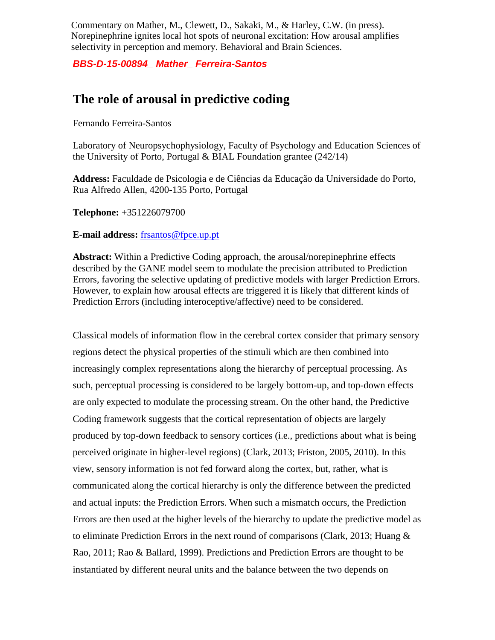Commentary on Mather, M., Clewett, D., Sakaki, M., & Harley, C.W. (in press). Norepinephrine ignites local hot spots of neuronal excitation: How arousal amplifies selectivity in perception and memory. Behavioral and Brain Sciences.

*BBS-D-15-00894\_ Mather\_ Ferreira-Santos*

## **The role of arousal in predictive coding**

Fernando Ferreira-Santos

Laboratory of Neuropsychophysiology, Faculty of Psychology and Education Sciences of the University of Porto, Portugal & BIAL Foundation grantee (242/14)

**Address:** Faculdade de Psicologia e de Ciências da Educação da Universidade do Porto, Rua Alfredo Allen, 4200-135 Porto, Portugal

**Telephone:** +351226079700

## **E-mail address:** [frsantos@fpce.up.pt](mailto:frsantos@fpce.up.pt)

**Abstract:** Within a Predictive Coding approach, the arousal/norepinephrine effects described by the GANE model seem to modulate the precision attributed to Prediction Errors, favoring the selective updating of predictive models with larger Prediction Errors. However, to explain how arousal effects are triggered it is likely that different kinds of Prediction Errors (including interoceptive/affective) need to be considered.

Classical models of information flow in the cerebral cortex consider that primary sensory regions detect the physical properties of the stimuli which are then combined into increasingly complex representations along the hierarchy of perceptual processing. As such, perceptual processing is considered to be largely bottom-up, and top-down effects are only expected to modulate the processing stream. On the other hand, the Predictive Coding framework suggests that the cortical representation of objects are largely produced by top-down feedback to sensory cortices (i.e., predictions about what is being perceived originate in higher-level regions) (Clark, 2013; Friston, 2005, 2010). In this view, sensory information is not fed forward along the cortex, but, rather, what is communicated along the cortical hierarchy is only the difference between the predicted and actual inputs: the Prediction Errors. When such a mismatch occurs, the Prediction Errors are then used at the higher levels of the hierarchy to update the predictive model as to eliminate Prediction Errors in the next round of comparisons (Clark, 2013; Huang & Rao, 2011; Rao & Ballard, 1999). Predictions and Prediction Errors are thought to be instantiated by different neural units and the balance between the two depends on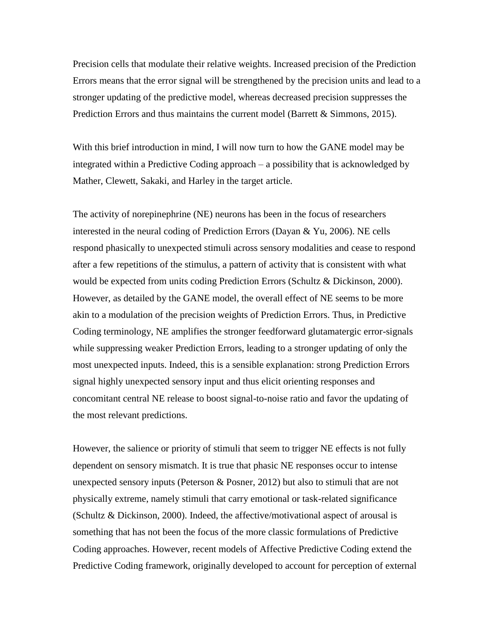Precision cells that modulate their relative weights. Increased precision of the Prediction Errors means that the error signal will be strengthened by the precision units and lead to a stronger updating of the predictive model, whereas decreased precision suppresses the Prediction Errors and thus maintains the current model (Barrett & Simmons, 2015).

With this brief introduction in mind, I will now turn to how the GANE model may be integrated within a Predictive Coding approach – a possibility that is acknowledged by Mather, Clewett, Sakaki, and Harley in the target article.

The activity of norepinephrine (NE) neurons has been in the focus of researchers interested in the neural coding of Prediction Errors (Dayan & Yu, 2006). NE cells respond phasically to unexpected stimuli across sensory modalities and cease to respond after a few repetitions of the stimulus, a pattern of activity that is consistent with what would be expected from units coding Prediction Errors (Schultz & Dickinson, 2000). However, as detailed by the GANE model, the overall effect of NE seems to be more akin to a modulation of the precision weights of Prediction Errors. Thus, in Predictive Coding terminology, NE amplifies the stronger feedforward glutamatergic error-signals while suppressing weaker Prediction Errors, leading to a stronger updating of only the most unexpected inputs. Indeed, this is a sensible explanation: strong Prediction Errors signal highly unexpected sensory input and thus elicit orienting responses and concomitant central NE release to boost signal-to-noise ratio and favor the updating of the most relevant predictions.

However, the salience or priority of stimuli that seem to trigger NE effects is not fully dependent on sensory mismatch. It is true that phasic NE responses occur to intense unexpected sensory inputs (Peterson & Posner, 2012) but also to stimuli that are not physically extreme, namely stimuli that carry emotional or task-related significance (Schultz & Dickinson, 2000). Indeed, the affective/motivational aspect of arousal is something that has not been the focus of the more classic formulations of Predictive Coding approaches. However, recent models of Affective Predictive Coding extend the Predictive Coding framework, originally developed to account for perception of external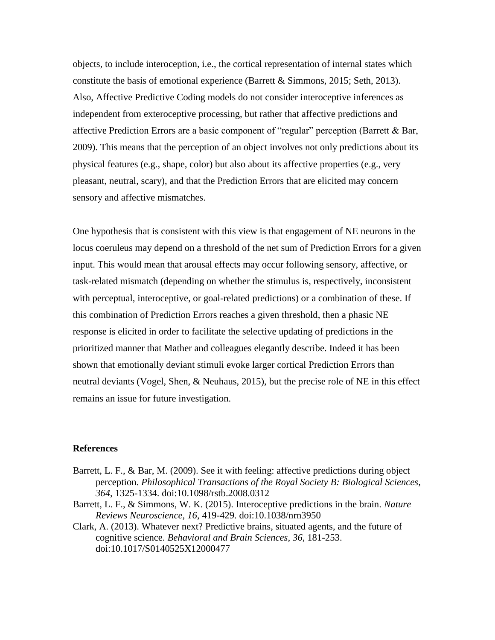objects, to include interoception, i.e., the cortical representation of internal states which constitute the basis of emotional experience (Barrett & Simmons, 2015; Seth, 2013). Also, Affective Predictive Coding models do not consider interoceptive inferences as independent from exteroceptive processing, but rather that affective predictions and affective Prediction Errors are a basic component of "regular" perception (Barrett & Bar, 2009). This means that the perception of an object involves not only predictions about its physical features (e.g., shape, color) but also about its affective properties (e.g., very pleasant, neutral, scary), and that the Prediction Errors that are elicited may concern sensory and affective mismatches.

One hypothesis that is consistent with this view is that engagement of NE neurons in the locus coeruleus may depend on a threshold of the net sum of Prediction Errors for a given input. This would mean that arousal effects may occur following sensory, affective, or task-related mismatch (depending on whether the stimulus is, respectively, inconsistent with perceptual, interoceptive, or goal-related predictions) or a combination of these. If this combination of Prediction Errors reaches a given threshold, then a phasic NE response is elicited in order to facilitate the selective updating of predictions in the prioritized manner that Mather and colleagues elegantly describe. Indeed it has been shown that emotionally deviant stimuli evoke larger cortical Prediction Errors than neutral deviants (Vogel, Shen, & Neuhaus, 2015), but the precise role of NE in this effect remains an issue for future investigation.

## **References**

- Barrett, L. F., & Bar, M. (2009). See it with feeling: affective predictions during object perception. *Philosophical Transactions of the Royal Society B: Biological Sciences, 364*, 1325-1334. doi:10.1098/rstb.2008.0312
- Barrett, L. F., & Simmons, W. K. (2015). Interoceptive predictions in the brain. *Nature Reviews Neuroscience, 16*, 419-429. doi:10.1038/nrn3950
- Clark, A. (2013). Whatever next? Predictive brains, situated agents, and the future of cognitive science. *Behavioral and Brain Sciences, 36*, 181-253. doi:10.1017/S0140525X12000477